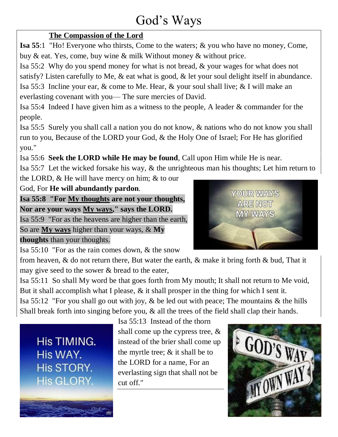# God's Ways

# **The Compassion of the Lord**

**Isa 55**:1 "Ho! Everyone who thirsts, Come to the waters; & you who have no money, Come, buy & eat. Yes, come, buy wine & milk Without money & without price.

Isa 55:2 Why do you spend money for what is not bread, & your wages for what does not

satisfy? Listen carefully to Me, & eat what is good, & let your soul delight itself in abundance.

Isa 55:3 Incline your ear, & come to Me. Hear, & your soul shall live; & I will make an everlasting covenant with you— The sure mercies of David.

Isa 55:4 Indeed I have given him as a witness to the people, A leader & commander for the people.

Isa 55:5 Surely you shall call a nation you do not know, & nations who do not know you shall run to you, Because of the LORD your God, & the Holy One of Israel; For He has glorified you."

Isa 55:6 **Seek the LORD while He may be found**, Call upon Him while He is near.

Isa 55:7 Let the wicked forsake his way, & the unrighteous man his thoughts; Let him return to

the LORD, & He will have mercy on him; & to our

God, For **He will abundantly pardon**.

**Isa 55:8 "For My thoughts are not your thoughts, Nor are your ways My ways," says the LORD.** 

Isa 55:9 "For as the heavens are higher than the earth,

So are **My ways** higher than your ways, & **My** 

# **thoughts** than your thoughts.

Isa 55:10 "For as the rain comes down, & the snow



from heaven, & do not return there, But water the earth, & make it bring forth & bud, That it may give seed to the sower & bread to the eater,

Isa 55:11 So shall My word be that goes forth from My mouth; It shall not return to Me void, But it shall accomplish what I please, & it shall prosper in the thing for which I sent it. Isa 55:12 "For you shall go out with joy, & be led out with peace; The mountains & the hills Shall break forth into singing before you, & all the trees of the field shall clap their hands.

His TIMING. His WAY. **His STORY.** His GLORY.

Isa 55:13 Instead of the thorn shall come up the cypress tree, & instead of the brier shall come up the myrtle tree; & it shall be to the LORD for a name, For an everlasting sign that shall not be cut off."

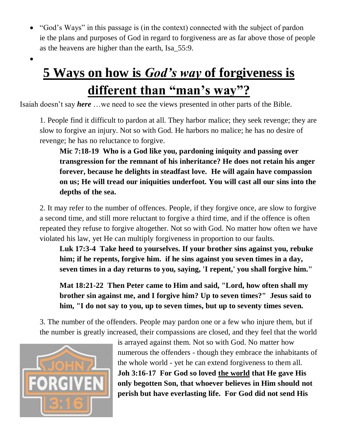"God's Ways" in this passage is (in the context) connected with the subject of pardon ie the plans and purposes of God in regard to forgiveness are as far above those of people as the heavens are higher than the earth, Isa\_55:9.

# **5 Ways on how is** *God's way* **of forgiveness is different than "man's way"?**

Isaiah doesn't say *here* …we need to see the views presented in other parts of the Bible.

1. People find it difficult to pardon at all. They harbor malice; they seek revenge; they are slow to forgive an injury. Not so with God. He harbors no malice; he has no desire of revenge; he has no reluctance to forgive.

**Mic 7:18-19 Who is a God like you, pardoning iniquity and passing over transgression for the remnant of his inheritance? He does not retain his anger forever, because he delights in steadfast love. He will again have compassion on us; He will tread our iniquities underfoot. You will cast all our sins into the depths of the sea.**

2. It may refer to the number of offences. People, if they forgive once, are slow to forgive a second time, and still more reluctant to forgive a third time, and if the offence is often repeated they refuse to forgive altogether. Not so with God. No matter how often we have violated his law, yet He can multiply forgiveness in proportion to our faults.

**Luk 17:3-4 Take heed to yourselves. If your brother sins against you, rebuke him; if he repents, forgive him. if he sins against you seven times in a day, seven times in a day returns to you, saying, 'I repent,' you shall forgive him."**

**Mat 18:21-22 Then Peter came to Him and said, "Lord, how often shall my brother sin against me, and I forgive him? Up to seven times?" Jesus said to him, "I do not say to you, up to seven times, but up to seventy times seven.**

3. The number of the offenders. People may pardon one or a few who injure them, but if the number is greatly increased, their compassions are closed, and they feel that the world



 $\bullet$ 

is arrayed against them. Not so with God. No matter how numerous the offenders - though they embrace the inhabitants of the whole world - yet he can extend forgiveness to them all. **Joh 3:16-17 For God so loved the world that He gave His only begotten Son, that whoever believes in Him should not perish but have everlasting life. For God did not send His**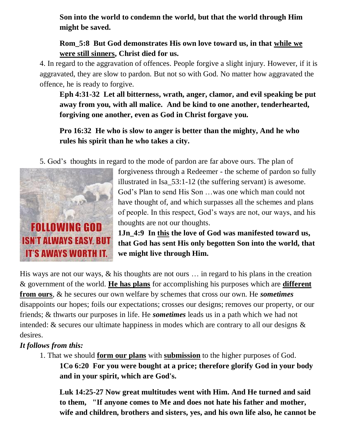**Son into the world to condemn the world, but that the world through Him might be saved.**

# **Rom\_5:8 But God demonstrates His own love toward us, in that while we were still sinners, Christ died for us.**

4. In regard to the aggravation of offences. People forgive a slight injury. However, if it is aggravated, they are slow to pardon. But not so with God. No matter how aggravated the offence, he is ready to forgive.

**Eph 4:31-32 Let all bitterness, wrath, anger, clamor, and evil speaking be put away from you, with all malice. And be kind to one another, tenderhearted, forgiving one another, even as God in Christ forgave you.**

**Pro 16:32 He who is slow to anger is better than the mighty, And he who rules his spirit than he who takes a city.**

5. God's thoughts in regard to the mode of pardon are far above ours. The plan of



forgiveness through a Redeemer - the scheme of pardon so fully illustrated in Isa\_53:1-12 (the suffering servant) is awesome. God's Plan to send His Son …was one which man could not have thought of, and which surpasses all the schemes and plans of people. In this respect, God's ways are not, our ways, and his thoughts are not our thoughts.

**1Jn\_4:9 In this the love of God was manifested toward us, that God has sent His only begotten Son into the world, that we might live through Him.**

His ways are not our ways, & his thoughts are not ours … in regard to his plans in the creation & government of the world. **He has plans** for accomplishing his purposes which are **different from ours**, & he secures our own welfare by schemes that cross our own. He *sometimes* disappoints our hopes; foils our expectations; crosses our designs; removes our property, or our friends; & thwarts our purposes in life. He *sometimes* leads us in a path which we had not intended: & secures our ultimate happiness in modes which are contrary to all our designs & desires.

# *It follows from this:*

1. That we should **form our plans** with **submission** to the higher purposes of God. **1Co 6:20 For you were bought at a price; therefore glorify God in your body and in your spirit, which are God's.**

**Luk 14:25-27 Now great multitudes went with Him. And He turned and said to them, "If anyone comes to Me and does not hate his father and mother, wife and children, brothers and sisters, yes, and his own life also, he cannot be**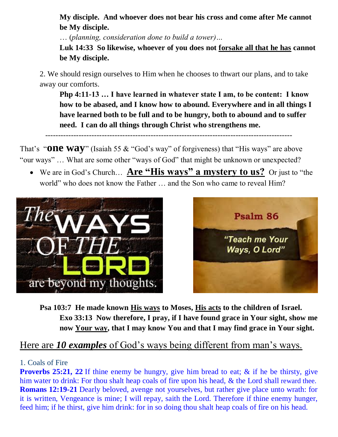**My disciple. And whoever does not bear his cross and come after Me cannot be My disciple.** 

… (*planning, consideration done to build a tower)…*

**Luk 14:33 So likewise, whoever of you does not forsake all that he has cannot be My disciple.**

2. We should resign ourselves to Him when he chooses to thwart our plans, and to take away our comforts.

**Php 4:11-13 … I have learned in whatever state I am, to be content: I know how to be abased, and I know how to abound. Everywhere and in all things I have learned both to be full and to be hungry, both to abound and to suffer need. I can do all things through Christ who strengthens me.**

------------------------------------------------------------------------------------------------

That's "**ONE WAY**" (Isaiah 55 & "God's way" of forgiveness) that "His ways" are above "our ways" … What are some other "ways of God" that might be unknown or unexpected?

 We are in God's Church… **Are "His ways" a mystery to us?** Or just to "the world" who does not know the Father … and the Son who came to reveal Him?





**Psa 103:7 He made known His ways to Moses, His acts to the children of Israel. Exo 33:13 Now therefore, I pray, if I have found grace in Your sight, show me now Your way, that I may know You and that I may find grace in Your sight.**

# Here are *10 examples* of God's ways being different from man's ways.

### 1. Coals of Fire

**Proverbs 25:21, 22** If thine enemy be hungry, give him bread to eat; & if he be thirsty, give him water to drink: For thou shalt heap coals of fire upon his head, & the Lord shall reward thee. **Romans 12:19-21** Dearly beloved, avenge not yourselves, but rather give place unto wrath: for it is written, Vengeance is mine; I will repay, saith the Lord. Therefore if thine enemy hunger, feed him; if he thirst, give him drink: for in so doing thou shalt heap coals of fire on his head.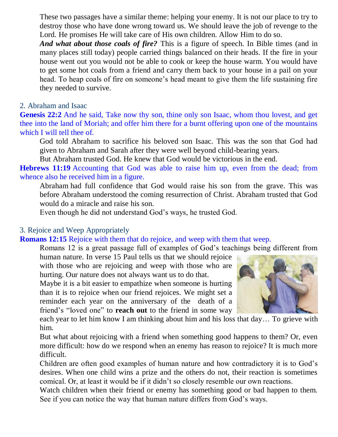These two passages have a similar theme: helping your enemy. It is not our place to try to destroy those who have done wrong toward us. We should leave the job of revenge to the Lord. He promises He will take care of His own children. Allow Him to do so.

*And what about those coals of fire?* This is a figure of speech. In Bible times (and in many places still today) people carried things balanced on their heads. If the fire in your house went out you would not be able to cook or keep the house warm. You would have to get some hot coals from a friend and carry them back to your house in a pail on your head. To heap coals of fire on someone's head meant to give them the life sustaining fire they needed to survive.

#### 2. Abraham and Isaac

**Genesis 22:2** And he said, Take now thy son, thine only son Isaac, whom thou lovest, and get thee into the land of Moriah; and offer him there for a burnt offering upon one of the mountains which I will tell thee of.

God told Abraham to sacrifice his beloved son Isaac. This was the son that God had given to Abraham and Sarah after they were well beyond child-bearing years.

But Abraham trusted God. He knew that God would be victorious in the end.

**Hebrews 11:19** Accounting that God was able to raise him up, even from the dead; from whence also he received him in a figure.

Abraham had full confidence that God would raise his son from the grave. This was before Abraham understood the coming resurrection of Christ. Abraham trusted that God would do a miracle and raise his son.

Even though he did not understand God's ways, he trusted God.

#### 3. Rejoice and Weep Appropriately

#### **Romans 12:15** Rejoice with them that do rejoice, and weep with them that weep.

Romans 12 is a great passage full of examples of God's teachings being different from

human nature. In verse 15 Paul tells us that we should rejoice with those who are rejoicing and weep with those who are hurting. Our nature does not always want us to do that.

Maybe it is a bit easier to empathize when someone is hurting than it is to rejoice when our friend rejoices. We might set a reminder each year on the anniversary of the death of a friend's "loved one" to **reach out** to the friend in some way



each year to let him know I am thinking about him and his loss that day… To grieve with him.

But what about rejoicing with a friend when something good happens to them? Or, even more difficult: how do we respond when an enemy has reason to rejoice? It is much more difficult.

Children are often good examples of human nature and how contradictory it is to God's desires. When one child wins a prize and the others do not, their reaction is sometimes comical. Or, at least it would be if it didn't so closely resemble our own reactions.

Watch children when their friend or enemy has something good or bad happen to them. See if you can notice the way that human nature differs from God's ways.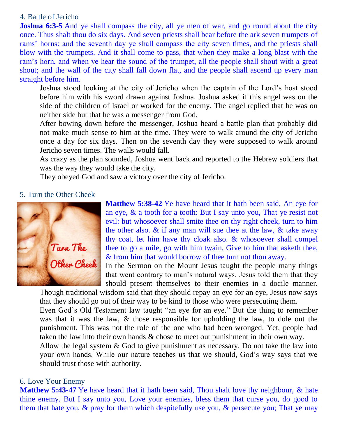#### 4. Battle of Jericho

**Joshua 6:3-5** And ye shall compass the city, all ye men of war, and go round about the city once. Thus shalt thou do six days. And seven priests shall bear before the ark seven trumpets of rams' horns: and the seventh day ye shall compass the city seven times, and the priests shall blow with the trumpets. And it shall come to pass, that when they make a long blast with the ram's horn, and when ye hear the sound of the trumpet, all the people shall shout with a great shout; and the wall of the city shall fall down flat, and the people shall ascend up every man straight before him.

Joshua stood looking at the city of Jericho when the captain of the Lord's host stood before him with his sword drawn against Joshua. Joshua asked if this angel was on the side of the children of Israel or worked for the enemy. The angel replied that he was on neither side but that he was a messenger from God.

After bowing down before the messenger, Joshua heard a battle plan that probably did not make much sense to him at the time. They were to walk around the city of Jericho once a day for six days. Then on the seventh day they were supposed to walk around Jericho seven times. The walls would fall.

As crazy as the plan sounded, Joshua went back and reported to the Hebrew soldiers that was the way they would take the city.

They obeyed God and saw a victory over the city of Jericho.

#### 5. Turn the Other Cheek



**Matthew 5:38-42** Ye have heard that it hath been said, An eye for an eye, & a tooth for a tooth: But I say unto you, That ye resist not evil: but whosoever shall smite thee on thy right cheek, turn to him the other also.  $\&$  if any man will sue thee at the law,  $\&$  take away thy coat, let him have thy cloak also. & whosoever shall compel thee to go a mile, go with him twain. Give to him that asketh thee, & from him that would borrow of thee turn not thou away.

In the Sermon on the Mount Jesus taught the people many things that went contrary to man's natural ways. Jesus told them that they should present themselves to their enemies in a docile manner.

Though traditional wisdom said that they should repay an eye for an eye, Jesus now says that they should go out of their way to be kind to those who were persecuting them.

Even God's Old Testament law taught "an eye for an eye." But the thing to remember was that it was the law, & those responsible for upholding the law, to dole out the punishment. This was not the role of the one who had been wronged. Yet, people had taken the law into their own hands & chose to meet out punishment in their own way.

Allow the legal system & God to give punishment as necessary. Do not take the law into your own hands. While our nature teaches us that we should, God's way says that we should trust those with authority.

#### 6. Love Your Enemy

**Matthew 5:43-47** Ye have heard that it hath been said, Thou shalt love thy neighbour, & hate thine enemy. But I say unto you, Love your enemies, bless them that curse you, do good to them that hate you,  $\&$  pray for them which despitefully use you,  $\&$  persecute you; That ye may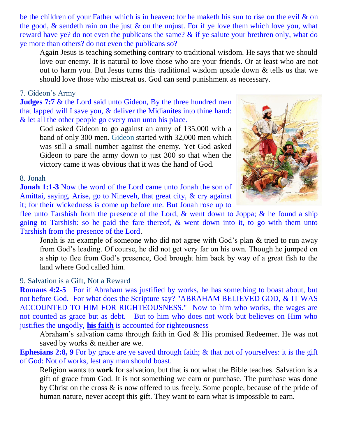be the children of your Father which is in heaven: for he maketh his sun to rise on the evil & on the good,  $\&$  sendeth rain on the just  $\&$  on the unjust. For if ye love them which love you, what reward have ye? do not even the publicans the same? & if ye salute your brethren only, what do ye more than others? do not even the publicans so?

Again Jesus is teaching something contrary to traditional wisdom. He says that we should love our enemy. It is natural to love those who are your friends. Or at least who are not out to harm you. But Jesus turns this traditional wisdom upside down & tells us that we should love those who mistreat us. God can send punishment as necessary.

#### 7. Gideon's Army

**Judges 7:7** & the Lord said unto Gideon, By the three hundred men that lapped will I save you,  $\&$  deliver the Midianites into thine hand: & let all the other people go every man unto his place.

God asked Gideon to go against an army of 135,000 with a band of only 300 men. [Gideon](https://www.whatchristianswanttoknow.com/gideon-bible-story-summary-with-lesson/) started with 32,000 men which was still a small number against the enemy. Yet God asked Gideon to pare the army down to just 300 so that when the victory came it was obvious that it was the hand of God.

#### 8. Jonah

**Jonah 1:1-3** Now the word of the Lord came unto Jonah the son of Amittai, saying, Arise, go to Nineveh, that great city, & cry against it; for their wickedness is come up before me. But Jonah rose up to



flee unto Tarshish from the presence of the Lord, & went down to Joppa; & he found a ship going to Tarshish: so he paid the fare thereof, & went down into it, to go with them unto Tarshish from the presence of the Lord.

Jonah is an example of someone who did not agree with God's plan & tried to run away from God's leading. Of course, he did not get very far on his own. Though he jumped on a ship to flee from God's presence, God brought him back by way of a great fish to the land where God called him.

#### 9. Salvation is a Gift, Not a Reward

**Romans 4:2-5** For if Abraham was justified by works, he has something to boast about, but not before God. For what does the Scripture say? "ABRAHAM BELIEVED GOD, & IT WAS ACCOUNTED TO HIM FOR RIGHTEOUSNESS." Now to him who works, the wages are not counted as grace but as debt. But to him who does not work but believes on Him who justifies the ungodly, **his faith** is accounted for righteousness

Abraham's salvation came through faith in God & His promised Redeemer. He was not saved by works & neither are we.

**Ephesians 2:8, 9** For by grace are ye saved through faith; & that not of yourselves: it is the gift of God: Not of works, lest any man should boast.

Religion wants to **work** for salvation, but that is not what the Bible teaches. Salvation is a gift of grace from God. It is not something we earn or purchase. The purchase was done by Christ on the cross & is now offered to us freely. Some people, because of the pride of human nature, never accept this gift. They want to earn what is impossible to earn.